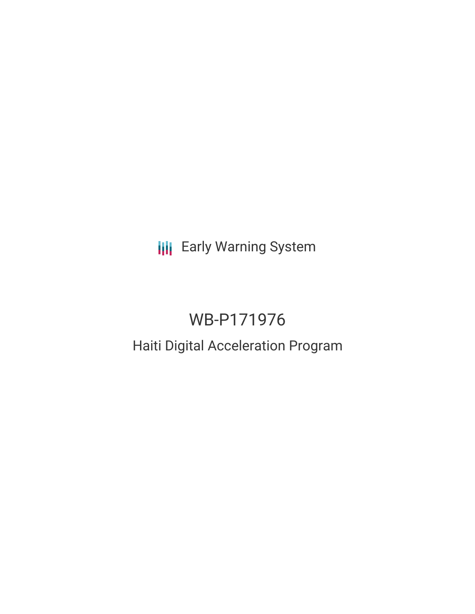**III** Early Warning System

# WB-P171976

## Haiti Digital Acceleration Program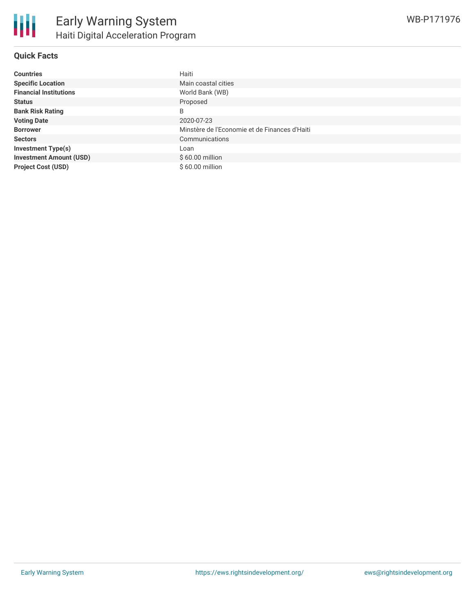| <b>Countries</b>               | Haiti                                         |
|--------------------------------|-----------------------------------------------|
| <b>Specific Location</b>       | Main coastal cities                           |
| <b>Financial Institutions</b>  | World Bank (WB)                               |
| <b>Status</b>                  | Proposed                                      |
| <b>Bank Risk Rating</b>        | B                                             |
| <b>Voting Date</b>             | 2020-07-23                                    |
| <b>Borrower</b>                | Minstère de l'Economie et de Finances d'Haiti |
| <b>Sectors</b>                 | Communications                                |
| <b>Investment Type(s)</b>      | Loan                                          |
| <b>Investment Amount (USD)</b> | $$60.00$ million                              |
| <b>Project Cost (USD)</b>      | \$60.00 million                               |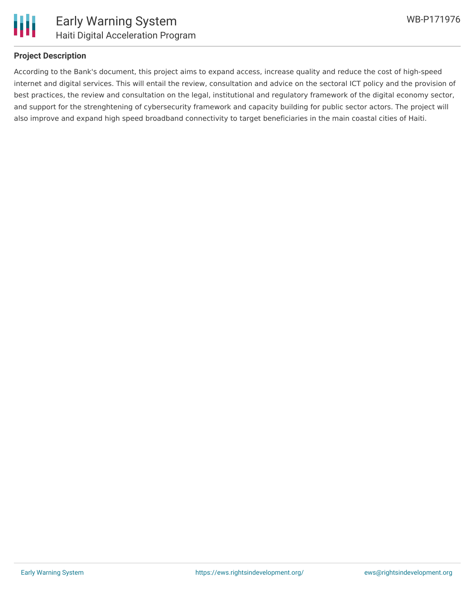

#### **Project Description**

According to the Bank's document, this project aims to expand access, increase quality and reduce the cost of high-speed internet and digital services. This will entail the review, consultation and advice on the sectoral ICT policy and the provision of best practices, the review and consultation on the legal, institutional and regulatory framework of the digital economy sector, and support for the strenghtening of cybersecurity framework and capacity building for public sector actors. The project will also improve and expand high speed broadband connectivity to target beneficiaries in the main coastal cities of Haiti.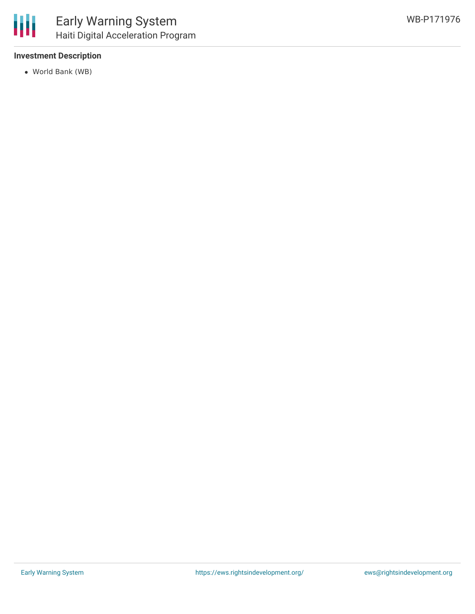#### **Investment Description**

World Bank (WB)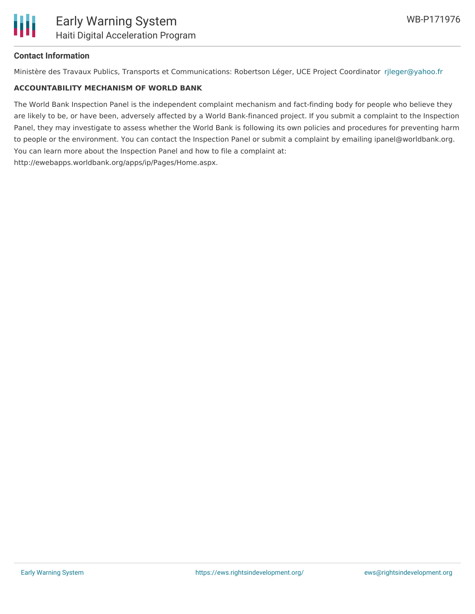#### **Contact Information**

Ministère des Travaux Publics, Transports et Communications: Robertson Léger, UCE Project Coordinator [rjleger@yahoo.fr](mailto:rjleger@yahoo.fr)

#### **ACCOUNTABILITY MECHANISM OF WORLD BANK**

The World Bank Inspection Panel is the independent complaint mechanism and fact-finding body for people who believe they are likely to be, or have been, adversely affected by a World Bank-financed project. If you submit a complaint to the Inspection Panel, they may investigate to assess whether the World Bank is following its own policies and procedures for preventing harm to people or the environment. You can contact the Inspection Panel or submit a complaint by emailing ipanel@worldbank.org. You can learn more about the Inspection Panel and how to file a complaint at: http://ewebapps.worldbank.org/apps/ip/Pages/Home.aspx.